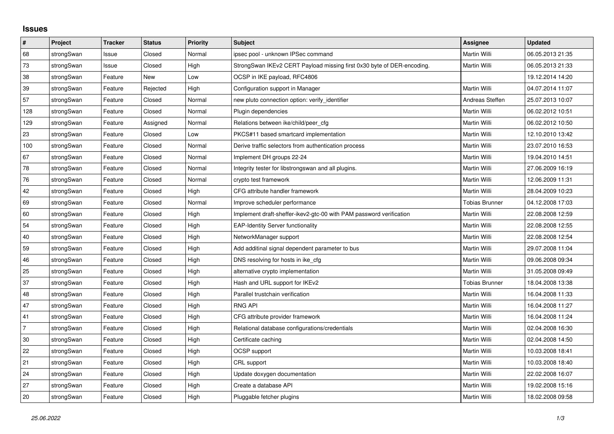## **Issues**

| $\pmb{\#}$ | Project    | <b>Tracker</b> | <b>Status</b> | <b>Priority</b> | <b>Subject</b>                                                         | Assignee              | <b>Updated</b>   |
|------------|------------|----------------|---------------|-----------------|------------------------------------------------------------------------|-----------------------|------------------|
| 68         | strongSwan | Issue          | Closed        | Normal          | ipsec pool - unknown IPSec command                                     | <b>Martin Willi</b>   | 06.05.2013 21:35 |
| 73         | strongSwan | Issue          | Closed        | High            | StrongSwan IKEv2 CERT Payload missing first 0x30 byte of DER-encoding. | Martin Willi          | 06.05.2013 21:33 |
| 38         | strongSwan | Feature        | New           | Low             | OCSP in IKE payload, RFC4806                                           |                       | 19.12.2014 14:20 |
| 39         | strongSwan | Feature        | Rejected      | High            | Configuration support in Manager                                       | <b>Martin Willi</b>   | 04.07.2014 11:07 |
| 57         | strongSwan | Feature        | Closed        | Normal          | new pluto connection option: verify_identifier                         | Andreas Steffen       | 25.07.2013 10:07 |
| 128        | strongSwan | Feature        | Closed        | Normal          | Plugin dependencies                                                    | Martin Willi          | 06.02.2012 10:51 |
| 129        | strongSwan | Feature        | Assigned      | Normal          | Relations between ike/child/peer_cfg                                   | Martin Willi          | 06.02.2012 10:50 |
| 23         | strongSwan | Feature        | Closed        | Low             | PKCS#11 based smartcard implementation                                 | Martin Willi          | 12.10.2010 13:42 |
| 100        | strongSwan | Feature        | Closed        | Normal          | Derive traffic selectors from authentication process                   | Martin Willi          | 23.07.2010 16:53 |
| 67         | strongSwan | Feature        | Closed        | Normal          | Implement DH groups 22-24                                              | Martin Willi          | 19.04.2010 14:51 |
| 78         | strongSwan | Feature        | Closed        | Normal          | Integrity tester for libstrongswan and all plugins.                    | Martin Willi          | 27.06.2009 16:19 |
| 76         | strongSwan | Feature        | Closed        | Normal          | crypto test framework                                                  | Martin Willi          | 12.06.2009 11:31 |
| 42         | strongSwan | Feature        | Closed        | High            | CFG attribute handler framework                                        | Martin Willi          | 28.04.2009 10:23 |
| 69         | strongSwan | Feature        | Closed        | Normal          | Improve scheduler performance                                          | <b>Tobias Brunner</b> | 04.12.2008 17:03 |
| 60         | strongSwan | Feature        | Closed        | High            | Implement draft-sheffer-ikev2-gtc-00 with PAM password verification    | Martin Willi          | 22.08.2008 12:59 |
| 54         | strongSwan | Feature        | Closed        | High            | <b>EAP-Identity Server functionality</b>                               | Martin Willi          | 22.08.2008 12:55 |
| 40         | strongSwan | Feature        | Closed        | High            | NetworkManager support                                                 | Martin Willi          | 22.08.2008 12:54 |
| 59         | strongSwan | Feature        | Closed        | High            | Add additinal signal dependent parameter to bus                        | Martin Willi          | 29.07.2008 11:04 |
| 46         | strongSwan | Feature        | Closed        | High            | DNS resolving for hosts in ike_cfg                                     | Martin Willi          | 09.06.2008 09:34 |
| 25         | strongSwan | Feature        | Closed        | High            | alternative crypto implementation                                      | Martin Willi          | 31.05.2008 09:49 |
| 37         | strongSwan | Feature        | Closed        | High            | Hash and URL support for IKEv2                                         | <b>Tobias Brunner</b> | 18.04.2008 13:38 |
| 48         | strongSwan | Feature        | Closed        | High            | Parallel trustchain verification                                       | Martin Willi          | 16.04.2008 11:33 |
| 47         | strongSwan | Feature        | Closed        | High            | <b>RNG API</b>                                                         | Martin Willi          | 16.04.2008 11:27 |
| 41         | strongSwan | Feature        | Closed        | High            | CFG attribute provider framework                                       | Martin Willi          | 16.04.2008 11:24 |
| 7          | strongSwan | Feature        | Closed        | High            | Relational database configurations/credentials                         | Martin Willi          | 02.04.2008 16:30 |
| 30         | strongSwan | Feature        | Closed        | High            | Certificate caching                                                    | Martin Willi          | 02.04.2008 14:50 |
| 22         | strongSwan | Feature        | Closed        | High            | <b>OCSP</b> support                                                    | Martin Willi          | 10.03.2008 18:41 |
| 21         | strongSwan | Feature        | Closed        | High            | CRL support                                                            | Martin Willi          | 10.03.2008 18:40 |
| 24         | strongSwan | Feature        | Closed        | High            | Update doxygen documentation                                           | Martin Willi          | 22.02.2008 16:07 |
| 27         | strongSwan | Feature        | Closed        | High            | Create a database API                                                  | Martin Willi          | 19.02.2008 15:16 |
| 20         | strongSwan | Feature        | Closed        | High            | Pluggable fetcher plugins                                              | Martin Willi          | 18.02.2008 09:58 |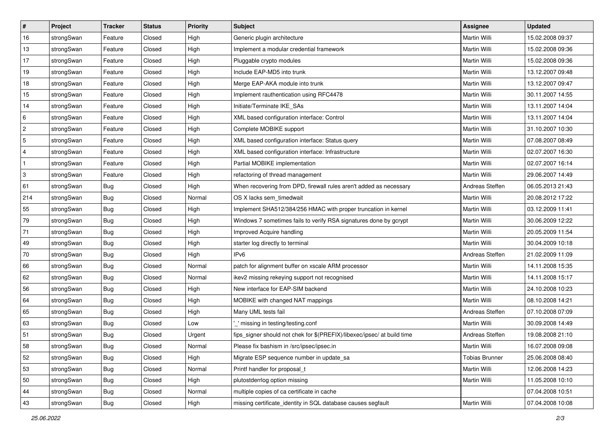| $\vert$ #    | Project    | <b>Tracker</b> | <b>Status</b> | Priority | <b>Subject</b>                                                          | <b>Assignee</b>       | <b>Updated</b>   |
|--------------|------------|----------------|---------------|----------|-------------------------------------------------------------------------|-----------------------|------------------|
| 16           | strongSwan | Feature        | Closed        | High     | Generic plugin architecture                                             | Martin Willi          | 15.02.2008 09:37 |
| 13           | strongSwan | Feature        | Closed        | High     | Implement a modular credential framework                                | Martin Willi          | 15.02.2008 09:36 |
| $17$         | strongSwan | Feature        | Closed        | High     | Pluggable crypto modules                                                | <b>Martin Willi</b>   | 15.02.2008 09:36 |
| 19           | strongSwan | Feature        | Closed        | High     | Include EAP-MD5 into trunk                                              | Martin Willi          | 13.12.2007 09:48 |
| 18           | strongSwan | Feature        | Closed        | High     | Merge EAP-AKA module into trunk                                         | Martin Willi          | 13.12.2007 09:47 |
| 15           | strongSwan | Feature        | Closed        | High     | Implement rauthentication using RFC4478                                 | Martin Willi          | 30.11.2007 14:55 |
| 14           | strongSwan | Feature        | Closed        | High     | Initiate/Terminate IKE_SAs                                              | Martin Willi          | 13.11.2007 14:04 |
| 6            | strongSwan | Feature        | Closed        | High     | XML based configuration interface: Control                              | Martin Willi          | 13.11.2007 14:04 |
| $\sqrt{2}$   | strongSwan | Feature        | Closed        | High     | Complete MOBIKE support                                                 | Martin Willi          | 31.10.2007 10:30 |
| $\sqrt{5}$   | strongSwan | Feature        | Closed        | High     | XML based configuration interface: Status query                         | Martin Willi          | 07.08.2007 08:49 |
| 4            | strongSwan | Feature        | Closed        | High     | XML based configuration interface: Infrastructure                       | Martin Willi          | 02.07.2007 16:30 |
| $\mathbf{1}$ | strongSwan | Feature        | Closed        | High     | Partial MOBIKE implementation                                           | Martin Willi          | 02.07.2007 16:14 |
| 3            | strongSwan | Feature        | Closed        | High     | refactoring of thread management                                        | <b>Martin Willi</b>   | 29.06.2007 14:49 |
| 61           | strongSwan | Bug            | Closed        | High     | When recovering from DPD, firewall rules aren't added as necessary      | Andreas Steffen       | 06.05.2013 21:43 |
| 214          | strongSwan | <b>Bug</b>     | Closed        | Normal   | OS X lacks sem_timedwait                                                | Martin Willi          | 20.08.2012 17:22 |
| 55           | strongSwan | Bug            | Closed        | High     | Implement SHA512/384/256 HMAC with proper truncation in kernel          | <b>Martin Willi</b>   | 03.12.2009 11:41 |
| 79           | strongSwan | <b>Bug</b>     | Closed        | High     | Windows 7 sometimes fails to verify RSA signatures done by gcrypt       | Martin Willi          | 30.06.2009 12:22 |
| 71           | strongSwan | <b>Bug</b>     | Closed        | High     | Improved Acquire handling                                               | Martin Willi          | 20.05.2009 11:54 |
| 49           | strongSwan | Bug            | Closed        | High     | starter log directly to terminal                                        | Martin Willi          | 30.04.2009 10:18 |
| 70           | strongSwan | Bug            | Closed        | High     | IP <sub>v6</sub>                                                        | Andreas Steffen       | 21.02.2009 11:09 |
| 66           | strongSwan | <b>Bug</b>     | Closed        | Normal   | patch for alignment buffer on xscale ARM processor                      | Martin Willi          | 14.11.2008 15:35 |
| 62           | strongSwan | <b>Bug</b>     | Closed        | Normal   | ikev2 missing rekeying support not recognised                           | Martin Willi          | 14.11.2008 15:17 |
| 56           | strongSwan | <b>Bug</b>     | Closed        | High     | New interface for EAP-SIM backend                                       | Martin Willi          | 24.10.2008 10:23 |
| 64           | strongSwan | <b>Bug</b>     | Closed        | High     | MOBIKE with changed NAT mappings                                        | Martin Willi          | 08.10.2008 14:21 |
| 65           | strongSwan | <b>Bug</b>     | Closed        | High     | Many UML tests fail                                                     | Andreas Steffen       | 07.10.2008 07:09 |
| 63           | strongSwan | <b>Bug</b>     | Closed        | Low      | _' missing in testing/testing.conf                                      | <b>Martin Willi</b>   | 30.09.2008 14:49 |
| 51           | strongSwan | <b>Bug</b>     | Closed        | Urgent   | fips_signer should not chek for \$(PREFIX)/libexec/ipsec/ at build time | Andreas Steffen       | 19.08.2008 21:10 |
| 58           | strongSwan | Bug            | Closed        | Normal   | Please fix bashism in /src/ipsec/ipsec.in                               | Martin Willi          | 16.07.2008 09:08 |
| 52           | strongSwan | Bug            | Closed        | High     | Migrate ESP sequence number in update sa                                | <b>Tobias Brunner</b> | 25.06.2008 08:40 |
| 53           | strongSwan | Bug            | Closed        | Normal   | Printf handler for proposal_t                                           | Martin Willi          | 12.06.2008 14:23 |
| 50           | strongSwan | <b>Bug</b>     | Closed        | High     | plutostderrlog option missing                                           | Martin Willi          | 11.05.2008 10:10 |
| 44           | strongSwan | Bug            | Closed        | Normal   | multiple copies of ca certificate in cache                              |                       | 07.04.2008 10:51 |
| 43           | strongSwan | <b>Bug</b>     | Closed        | High     | missing certificate_identity in SQL database causes segfault            | Martin Willi          | 07.04.2008 10:08 |